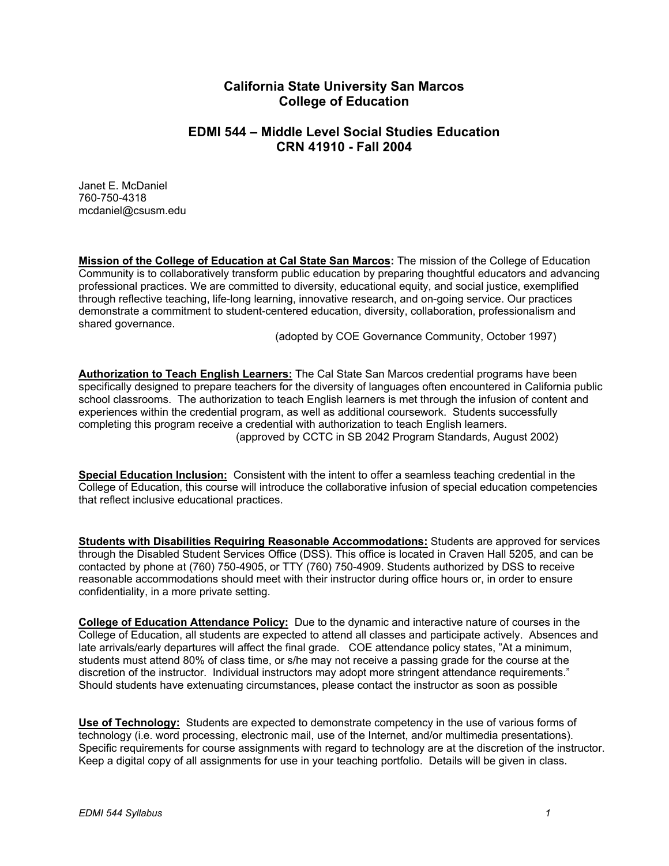# **California State University San Marcos College of Education**

# **EDMI 544 – Middle Level Social Studies Education CRN 41910 - Fall 2004**

Janet E. McDaniel 760-750-4318 mcdaniel@csusm.edu

**Mission of the College of Education at Cal State San Marcos:** The mission of the College of Education Community is to collaboratively transform public education by preparing thoughtful educators and advancing professional practices. We are committed to diversity, educational equity, and social justice, exemplified through reflective teaching, life-long learning, innovative research, and on-going service. Our practices demonstrate a commitment to student-centered education, diversity, collaboration, professionalism and shared governance.

(adopted by COE Governance Community, October 1997)

**Authorization to Teach English Learners:** The Cal State San Marcos credential programs have been specifically designed to prepare teachers for the diversity of languages often encountered in California public school classrooms. The authorization to teach English learners is met through the infusion of content and experiences within the credential program, as well as additional coursework. Students successfully completing this program receive a credential with authorization to teach English learners. (approved by CCTC in SB 2042 Program Standards, August 2002)

**Special Education Inclusion:** Consistent with the intent to offer a seamless teaching credential in the College of Education, this course will introduce the collaborative infusion of special education competencies that reflect inclusive educational practices.

**Students with Disabilities Requiring Reasonable Accommodations:** Students are approved for services through the Disabled Student Services Office (DSS). This office is located in Craven Hall 5205, and can be contacted by phone at (760) 750-4905, or TTY (760) 750-4909. Students authorized by DSS to receive reasonable accommodations should meet with their instructor during office hours or, in order to ensure confidentiality, in a more private setting.

**College of Education Attendance Policy:** Due to the dynamic and interactive nature of courses in the College of Education, all students are expected to attend all classes and participate actively. Absences and late arrivals/early departures will affect the final grade. COE attendance policy states, "At a minimum, students must attend 80% of class time, or s/he may not receive a passing grade for the course at the discretion of the instructor. Individual instructors may adopt more stringent attendance requirements." Should students have extenuating circumstances, please contact the instructor as soon as possible

**Use of Technology:** Students are expected to demonstrate competency in the use of various forms of technology (i.e. word processing, electronic mail, use of the Internet, and/or multimedia presentations). Specific requirements for course assignments with regard to technology are at the discretion of the instructor. Keep a digital copy of all assignments for use in your teaching portfolio. Details will be given in class.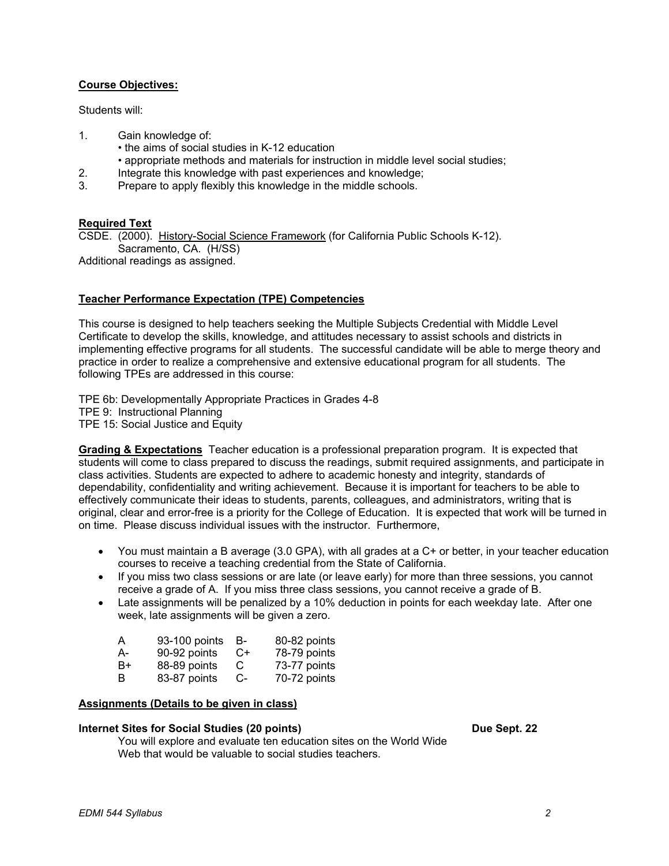## **Course Objectives:**

Students will:

- 1. Gain knowledge of:
	- the aims of social studies in K-12 education
	- appropriate methods and materials for instruction in middle level social studies;
- 2. Integrate this knowledge with past experiences and knowledge;
- 3. Prepare to apply flexibly this knowledge in the middle schools.

## **Required Text**

CSDE. (2000). History-Social Science Framework (for California Public Schools K-12). Sacramento, CA. (H/SS)

Additional readings as assigned.

## **Teacher Performance Expectation (TPE) Competencies**

This course is designed to help teachers seeking the Multiple Subjects Credential with Middle Level Certificate to develop the skills, knowledge, and attitudes necessary to assist schools and districts in implementing effective programs for all students. The successful candidate will be able to merge theory and practice in order to realize a comprehensive and extensive educational program for all students. The following TPEs are addressed in this course:

TPE 6b: Developmentally Appropriate Practices in Grades 4-8 TPE 9: Instructional Planning TPE 15: Social Justice and Equity

**Grading & Expectations** Teacher education is a professional preparation program. It is expected that students will come to class prepared to discuss the readings, submit required assignments, and participate in class activities. Students are expected to adhere to academic honesty and integrity, standards of dependability, confidentiality and writing achievement. Because it is important for teachers to be able to effectively communicate their ideas to students, parents, colleagues, and administrators, writing that is original, clear and error-free is a priority for the College of Education. It is expected that work will be turned in on time. Please discuss individual issues with the instructor. Furthermore,

- You must maintain a B average (3.0 GPA), with all grades at a C+ or better, in your teacher education courses to receive a teaching credential from the State of California.
- If you miss two class sessions or are late (or leave early) for more than three sessions, you cannot receive a grade of A. If you miss three class sessions, you cannot receive a grade of B.
- Late assignments will be penalized by a 10% deduction in points for each weekday late. After one week, late assignments will be given a zero.

| A  | 93-100 points | в-   | 80-82 points |
|----|---------------|------|--------------|
| A- | 90-92 points  | $C+$ | 78-79 points |
| B+ | 88-89 points  | C    | 73-77 points |
| B  | 83-87 points  | $C-$ | 70-72 points |

### **Assignments (Details to be given in class)**

### **Internet Sites for Social Studies (20 points)** Due Sept. 22

 You will explore and evaluate ten education sites on the World Wide Web that would be valuable to social studies teachers.